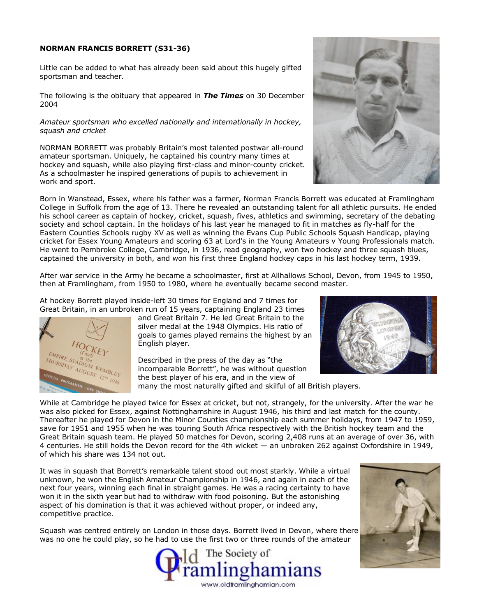#### **NORMAN FRANCIS BORRETT (S31-36)**

Little can be added to what has already been said about this hugely gifted sportsman and teacher.

The following is the obituary that appeared in *The Times* on 30 December 2004

#### *Amateur sportsman who excelled nationally and internationally in hockey, squash and cricket*

NORMAN BORRETT was probably Britain's most talented postwar all-round amateur sportsman. Uniquely, he captained his country many times at hockey and squash, while also playing first-class and minor-county cricket. As a schoolmaster he inspired generations of pupils to achievement in work and sport.

Born in Wanstead, Essex, where his father was a farmer, Norman Francis Borrett was educated at Framlingham College in Suffolk from the age of 13. There he revealed an outstanding talent for all athletic pursuits. He ended his school career as captain of hockey, cricket, squash, fives, athletics and swimming, secretary of the debating society and school captain. In the holidays of his last year he managed to fit in matches as fly-half for the Eastern Counties Schools rugby XV as well as winning the Evans Cup Public Schools Squash Handicap, playing cricket for Essex Young Amateurs and scoring 63 at Lord's in the Young Amateurs v Young Professionals match. He went to Pembroke College, Cambridge, in 1936, read geography, won two hockey and three squash blues, captained the university in both, and won his first three England hockey caps in his last hockey term, 1939.

After war service in the Army he became a schoolmaster, first at Allhallows School, Devon, from 1945 to 1950, then at Framlingham, from 1950 to 1980, where he eventually became second master.

At hockey Borrett played inside-left 30 times for England and 7 times for Great Britain, in an unbroken run of 15 years, captaining England 23 times



and Great Britain 7. He led Great Britain to the silver medal at the 1948 Olympics. His ratio of goals to games played remains the highest by an English player.

Described in the press of the day as "the incomparable Borrett", he was without question the best player of his era, and in the view of

many the most naturally gifted and skilful of all British players.



While at Cambridge he played twice for Essex at cricket, but not, strangely, for the university. After the war he was also picked for Essex, against Nottinghamshire in August 1946, his third and last match for the county. Thereafter he played for Devon in the Minor Counties championship each summer holidays, from 1947 to 1959, save for 1951 and 1955 when he was touring South Africa respectively with the British hockey team and the Great Britain squash team. He played 50 matches for Devon, scoring 2,408 runs at an average of over 36, with 4 centuries. He still holds the Devon record for the 4th wicket — an unbroken 262 against Oxfordshire in 1949, of which his share was 134 not out.

It was in squash that Borrett's remarkable talent stood out most starkly. While a virtual unknown, he won the English Amateur Championship in 1946, and again in each of the next four years, winning each final in straight games. He was a racing certainty to have won it in the sixth year but had to withdraw with food poisoning. But the astonishing aspect of his domination is that it was achieved without proper, or indeed any, competitive practice.

Squash was centred entirely on London in those days. Borrett lived in Devon, where there was no one he could play, so he had to use the first two or three rounds of the amateur





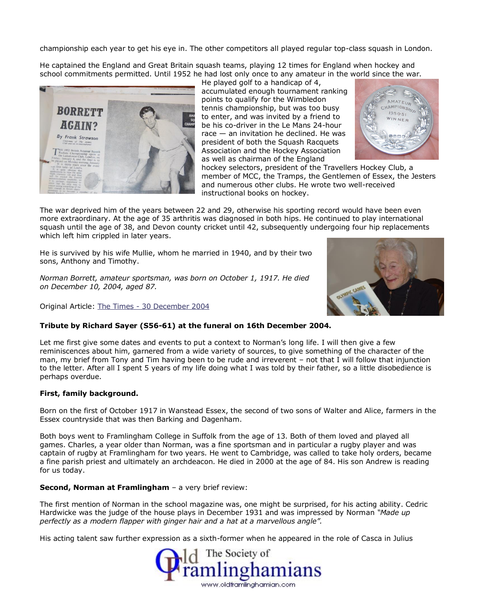championship each year to get his eye in. The other competitors all played regular top-class squash in London.

He captained the England and Great Britain squash teams, playing 12 times for England when hockey and school commitments permitted. Until 1952 he had lost only once to any amateur in the world since the war.



He played golf to a handicap of 4, accumulated enough tournament ranking points to qualify for the Wimbledon tennis championship, but was too busy to enter, and was invited by a friend to be his co-driver in the Le Mans 24-hour race — an invitation he declined. He was president of both the Squash Racquets Association and the Hockey Association as well as chairman of the England



hockey selectors, president of the Travellers Hockey Club, a member of MCC, the Tramps, the Gentlemen of Essex, the Jesters and numerous other clubs. He wrote two well-received instructional books on hockey.

The war deprived him of the years between 22 and 29, otherwise his sporting record would have been even more extraordinary. At the age of 35 arthritis was diagnosed in both hips. He continued to play international squash until the age of 38, and Devon county cricket until 42, subsequently undergoing four hip replacements which left him crippled in later years.

He is survived by his wife Mullie, whom he married in 1940, and by their two sons, Anthony and Timothy.

*Norman Borrett, amateur sportsman, was born on October 1, 1917. He died on December 10, 2004, aged 87.*

Original Article: The Times - [30 December 2004](http://www.timesonline.co.uk/article/0,,60-1418833,00.html)



#### **Tribute by Richard Sayer (S56-61) at the funeral on 16th December 2004.**

Let me first give some dates and events to put a context to Norman's long life. I will then give a few reminiscences about him, garnered from a wide variety of sources, to give something of the character of the man, my brief from Tony and Tim having been to be rude and irreverent – not that I will follow that injunction to the letter. After all I spent 5 years of my life doing what I was told by their father, so a little disobedience is perhaps overdue.

#### **First, family background.**

Born on the first of October 1917 in Wanstead Essex, the second of two sons of Walter and Alice, farmers in the Essex countryside that was then Barking and Dagenham.

Both boys went to Framlingham College in Suffolk from the age of 13. Both of them loved and played all games. Charles, a year older than Norman, was a fine sportsman and in particular a rugby player and was captain of rugby at Framlingham for two years. He went to Cambridge, was called to take holy orders, became a fine parish priest and ultimately an archdeacon. He died in 2000 at the age of 84. His son Andrew is reading for us today.

#### **Second, Norman at Framlingham** - a very brief review:

The first mention of Norman in the school magazine was, one might be surprised, for his acting ability. Cedric Hardwicke was the judge of the house plays in December 1931 and was impressed by Norman *"Made up perfectly as a modern flapper with ginger hair and a hat at a marvellous angle".*

His acting talent saw further expression as a sixth-former when he appeared in the role of Casca in Julius

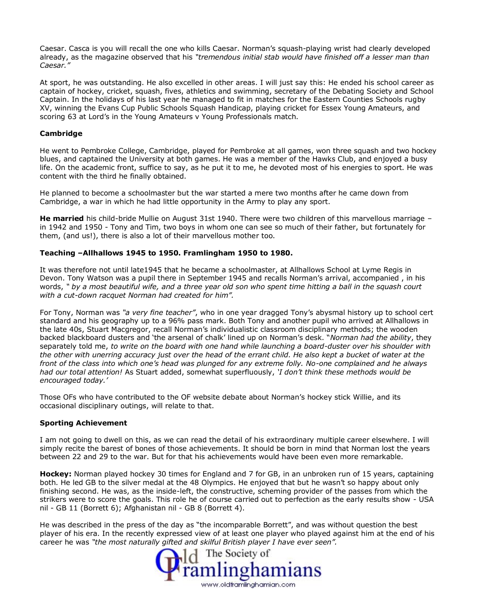Caesar. Casca is you will recall the one who kills Caesar. Norman's squash-playing wrist had clearly developed already, as the magazine observed that his *"tremendous initial stab would have finished off a lesser man than Caesar."*

At sport, he was outstanding. He also excelled in other areas. I will just say this: He ended his school career as captain of hockey, cricket, squash, fives, athletics and swimming, secretary of the Debating Society and School Captain. In the holidays of his last year he managed to fit in matches for the Eastern Counties Schools rugby XV, winning the Evans Cup Public Schools Squash Handicap, playing cricket for Essex Young Amateurs, and scoring 63 at Lord's in the Young Amateurs v Young Professionals match.

#### **Cambridge**

He went to Pembroke College, Cambridge, played for Pembroke at all games, won three squash and two hockey blues, and captained the University at both games. He was a member of the Hawks Club, and enjoyed a busy life. On the academic front, suffice to say, as he put it to me, he devoted most of his energies to sport. He was content with the third he finally obtained.

He planned to become a schoolmaster but the war started a mere two months after he came down from Cambridge, a war in which he had little opportunity in the Army to play any sport.

**He married** his child-bride Mullie on August 31st 1940. There were two children of this marvellous marriage – in 1942 and 1950 - Tony and Tim, two boys in whom one can see so much of their father, but fortunately for them, (and us!), there is also a lot of their marvellous mother too.

#### **Teaching –Allhallows 1945 to 1950. Framlingham 1950 to 1980.**

It was therefore not until late1945 that he became a schoolmaster, at Allhallows School at Lyme Regis in Devon. Tony Watson was a pupil there in September 1945 and recalls Norman's arrival, accompanied , in his words, *" by a most beautiful wife, and a three year old son who spent time hitting a ball in the squash court with a cut-down racquet Norman had created for him".* 

For Tony, Norman was *"a very fine teacher"*, who in one year dragged Tony's abysmal history up to school cert standard and his geography up to a 96% pass mark. Both Tony and another pupil who arrived at Allhallows in the late 40s, Stuart Macgregor, recall Norman's individualistic classroom disciplinary methods; the wooden backed blackboard dusters and 'the arsenal of chalk' lined up on Norman's desk. "*Norman had the ability*, they separately told me, *to write on the board with one hand while launching a board-duster over his shoulder with the other with unerring accuracy just over the head of the errant child. He also kept a bucket of water at the front of the class into which one's head was plunged for any extreme folly. No-one complained and he always had our total attention!* As Stuart added, somewhat superfluously, *'I don't think these methods would be encouraged today.'*

Those OFs who have contributed to the OF website debate about Norman's hockey stick Willie, and its occasional disciplinary outings, will relate to that.

#### **Sporting Achievement**

I am not going to dwell on this, as we can read the detail of his extraordinary multiple career elsewhere. I will simply recite the barest of bones of those achievements. It should be born in mind that Norman lost the years between 22 and 29 to the war. But for that his achievements would have been even more remarkable.

**Hockey:** Norman played hockey 30 times for England and 7 for GB, in an unbroken run of 15 years, captaining both. He led GB to the silver medal at the 48 Olympics. He enjoyed that but he wasn't so happy about only finishing second. He was, as the inside-left, the constructive, scheming provider of the passes from which the strikers were to score the goals. This role he of course carried out to perfection as the early results show - USA nil - GB 11 (Borrett 6); Afghanistan nil - GB 8 (Borrett 4).

He was described in the press of the day as "the incomparable Borrett", and was without question the best player of his era. In the recently expressed view of at least one player who played against him at the end of his career he was *"the most naturally gifted and skilful British player I have ever seen".*

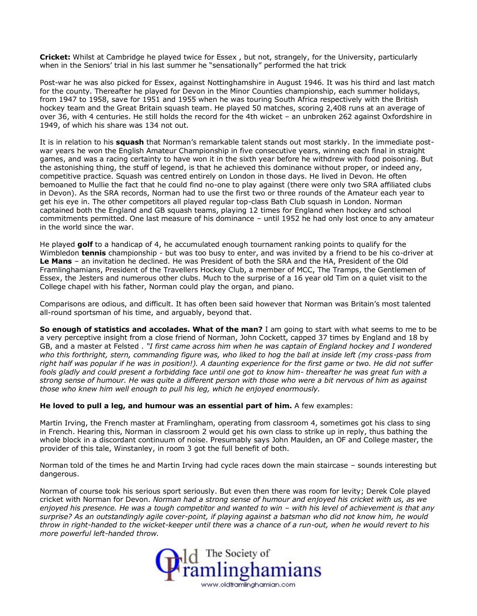**Cricket:** Whilst at Cambridge he played twice for Essex , but not, strangely, for the University, particularly when in the Seniors' trial in his last summer he "sensationally" performed the hat trick

Post-war he was also picked for Essex, against Nottinghamshire in August 1946. It was his third and last match for the county. Thereafter he played for Devon in the Minor Counties championship, each summer holidays, from 1947 to 1958, save for 1951 and 1955 when he was touring South Africa respectively with the British hockey team and the Great Britain squash team. He played 50 matches, scoring 2,408 runs at an average of over 36, with 4 centuries. He still holds the record for the 4th wicket – an unbroken 262 against Oxfordshire in 1949, of which his share was 134 not out.

It is in relation to his **squash** that Norman's remarkable talent stands out most starkly. In the immediate postwar years he won the English Amateur Championship in five consecutive years, winning each final in straight games, and was a racing certainty to have won it in the sixth year before he withdrew with food poisoning. But the astonishing thing, the stuff of legend, is that he achieved this dominance without proper, or indeed any, competitive practice. Squash was centred entirely on London in those days. He lived in Devon. He often bemoaned to Mullie the fact that he could find no-one to play against (there were only two SRA affiliated clubs in Devon). As the SRA records, Norman had to use the first two or three rounds of the Amateur each year to get his eye in. The other competitors all played regular top-class Bath Club squash in London. Norman captained both the England and GB squash teams, playing 12 times for England when hockey and school commitments permitted. One last measure of his dominance – until 1952 he had only lost once to any amateur in the world since the war.

He played **golf** to a handicap of 4, he accumulated enough tournament ranking points to qualify for the Wimbledon **tennis** championship - but was too busy to enter, and was invited by a friend to be his co-driver at **Le Mans** – an invitation he declined. He was President of both the SRA and the HA, President of the Old Framlinghamians, President of the Travellers Hockey Club, a member of MCC, The Tramps, the Gentlemen of Essex, the Jesters and numerous other clubs. Much to the surprise of a 16 year old Tim on a quiet visit to the College chapel with his father, Norman could play the organ, and piano.

Comparisons are odious, and difficult. It has often been said however that Norman was Britain's most talented all-round sportsman of his time, and arguably, beyond that.

**So enough of statistics and accolades. What of the man?** I am going to start with what seems to me to be a very perceptive insight from a close friend of Norman, John Cockett, capped 37 times by England and 18 by GB, and a master at Felsted . *"I first came across him when he was captain of England hockey and I wondered*  who this forthright, stern, commanding figure was, who liked to hog the ball at inside left (my cross-pass from *right half was popular if he was in position!). A daunting experience for the first game or two. He did not suffer fools gladly and could present a forbidding face until one got to know him- thereafter he was great fun with a strong sense of humour. He was quite a different person with those who were a bit nervous of him as against those who knew him well enough to pull his leg, which he enjoyed enormously.* 

**He loved to pull a leg, and humour was an essential part of him.** A few examples:

Martin Irving, the French master at Framlingham, operating from classroom 4, sometimes got his class to sing in French. Hearing this, Norman in classroom 2 would get his own class to strike up in reply, thus bathing the whole block in a discordant continuum of noise. Presumably says John Maulden, an OF and College master, the provider of this tale, Winstanley, in room 3 got the full benefit of both.

Norman told of the times he and Martin Irving had cycle races down the main staircase – sounds interesting but dangerous.

Norman of course took his serious sport seriously. But even then there was room for levity; Derek Cole played cricket with Norman for Devon. *Norman had a strong sense of humour and enjoyed his cricket with us, as we*  enjoyed his presence. He was a tough competitor and wanted to win – with his level of achievement is that any *surprise? As an outstandingly agile cover-point, if playing against a batsman who did not know him, he would throw in right-handed to the wicket-keeper until there was a chance of a run-out, when he would revert to his more powerful left-handed throw.* 

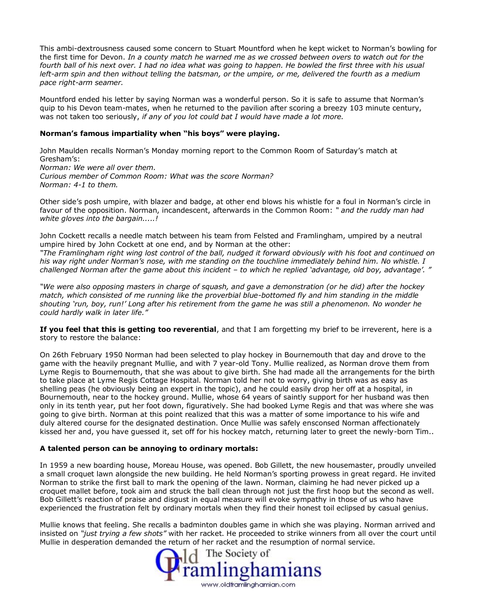This ambi-dextrousness caused some concern to Stuart Mountford when he kept wicket to Norman's bowling for the first time for Devon. *In a county match he warned me as we crossed between overs to watch out for the fourth ball of his next over. I had no idea what was going to happen. He bowled the first three with his usual left-arm spin and then without telling the batsman, or the umpire, or me, delivered the fourth as a medium pace right-arm seamer.*

Mountford ended his letter by saying Norman was a wonderful person. So it is safe to assume that Norman's quip to his Devon team-mates, when he returned to the pavilion after scoring a breezy 103 minute century, was not taken too seriously, *if any of you lot could bat I would have made a lot more.* 

#### **Norman's famous impartiality when "his boys" were playing.**

John Maulden recalls Norman's Monday morning report to the Common Room of Saturday's match at Gresham's: *Norman: We were all over them. Curious member of Common Room: What was the score Norman? Norman: 4-1 to them.*

Other side's posh umpire, with blazer and badge, at other end blows his whistle for a foul in Norman's circle in favour of the opposition. Norman, incandescent, afterwards in the Common Room: *" and the ruddy man had white gloves into the bargain.....!*

John Cockett recalls a needle match between his team from Felsted and Framlingham, umpired by a neutral umpire hired by John Cockett at one end, and by Norman at the other:

*"The Framlingham right wing lost control of the ball, nudged it forward obviously with his foot and continued on his way right under Norman's nose, with me standing on the touchline immediately behind him. No whistle. I challenged Norman after the game about this incident – to which he replied 'advantage, old boy, advantage'. "*

*"We were also opposing masters in charge of squash, and gave a demonstration (or he did) after the hockey match, which consisted of me running like the proverbial blue-bottomed fly and him standing in the middle shouting 'run, boy, run!' Long after his retirement from the game he was still a phenomenon. No wonder he could hardly walk in later life."*

**If you feel that this is getting too reverential**, and that I am forgetting my brief to be irreverent, here is a story to restore the balance:

On 26th February 1950 Norman had been selected to play hockey in Bournemouth that day and drove to the game with the heavily pregnant Mullie, and with 7 year-old Tony. Mullie realized, as Norman drove them from Lyme Regis to Bournemouth, that she was about to give birth. She had made all the arrangements for the birth to take place at Lyme Regis Cottage Hospital. Norman told her not to worry, giving birth was as easy as shelling peas (he obviously being an expert in the topic), and he could easily drop her off at a hospital, in Bournemouth, near to the hockey ground. Mullie, whose 64 years of saintly support for her husband was then only in its tenth year, put her foot down, figuratively. She had booked Lyme Regis and that was where she was going to give birth. Norman at this point realized that this was a matter of some importance to his wife and duly altered course for the designated destination. Once Mullie was safely ensconsed Norman affectionately kissed her and, you have guessed it, set off for his hockey match, returning later to greet the newly-born Tim..

#### **A talented person can be annoying to ordinary mortals:**

In 1959 a new boarding house, Moreau House, was opened. Bob Gillett, the new housemaster, proudly unveiled a small croquet lawn alongside the new building. He held Norman's sporting prowess in great regard. He invited Norman to strike the first ball to mark the opening of the lawn. Norman, claiming he had never picked up a croquet mallet before, took aim and struck the ball clean through not just the first hoop but the second as well. Bob Gillett's reaction of praise and disgust in equal measure will evoke sympathy in those of us who have experienced the frustration felt by ordinary mortals when they find their honest toil eclipsed by casual genius.

Mullie knows that feeling. She recalls a badminton doubles game in which she was playing. Norman arrived and insisted on *"just trying a few shots"* with her racket. He proceeded to strike winners from all over the court until Mullie in desperation demanded the return of her racket and the resumption of normal service.

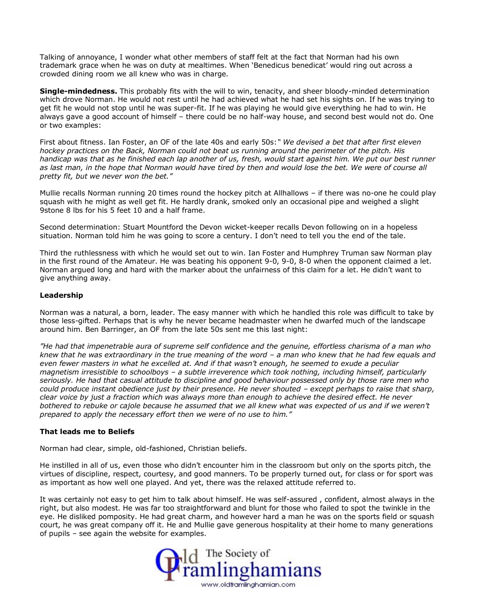Talking of annoyance, I wonder what other members of staff felt at the fact that Norman had his own trademark grace when he was on duty at mealtimes. When 'Benedicus benedicat' would ring out across a crowded dining room we all knew who was in charge.

**Single-mindedness.** This probably fits with the will to win, tenacity, and sheer bloody-minded determination which drove Norman. He would not rest until he had achieved what he had set his sights on. If he was trying to get fit he would not stop until he was super-fit. If he was playing he would give everything he had to win. He always gave a good account of himself – there could be no half-way house, and second best would not do. One or two examples:

First about fitness. Ian Foster, an OF of the late 40s and early 50s:*" We devised a bet that after first eleven hockey practices on the Back, Norman could not beat us running around the perimeter of the pitch. His handicap was that as he finished each lap another of us, fresh, would start against him. We put our best runner as last man, in the hope that Norman would have tired by then and would lose the bet. We were of course all pretty fit, but we never won the bet."* 

Mullie recalls Norman running 20 times round the hockey pitch at Allhallows – if there was no-one he could play squash with he might as well get fit. He hardly drank, smoked only an occasional pipe and weighed a slight 9stone 8 lbs for his 5 feet 10 and a half frame.

Second determination: Stuart Mountford the Devon wicket-keeper recalls Devon following on in a hopeless situation. Norman told him he was going to score a century. I don't need to tell you the end of the tale.

Third the ruthlessness with which he would set out to win. Ian Foster and Humphrey Truman saw Norman play in the first round of the Amateur. He was beating his opponent 9-0, 9-0, 8-0 when the opponent claimed a let. Norman argued long and hard with the marker about the unfairness of this claim for a let. He didn't want to give anything away.

#### **Leadership**

Norman was a natural, a born, leader. The easy manner with which he handled this role was difficult to take by those less-gifted. Perhaps that is why he never became headmaster when he dwarfed much of the landscape around him. Ben Barringer, an OF from the late 50s sent me this last night:

*"He had that impenetrable aura of supreme self confidence and the genuine, effortless charisma of a man who*  knew that he was extraordinary in the true meaning of the word – a man who knew that he had few equals and *even fewer masters in what he excelled at. And if that wasn't enough, he seemed to exude a peculiar magnetism irresistible to schoolboys – a subtle irreverence which took nothing, including himself, particularly seriously. He had that casual attitude to discipline and good behaviour possessed only by those rare men who could produce instant obedience just by their presence. He never shouted - except perhaps to raise that sharp, clear voice by just a fraction which was always more than enough to achieve the desired effect. He never bothered to rebuke or cajole because he assumed that we all knew what was expected of us and if we weren't prepared to apply the necessary effort then we were of no use to him."*

#### **That leads me to Beliefs**

Norman had clear, simple, old-fashioned, Christian beliefs.

He instilled in all of us, even those who didn't encounter him in the classroom but only on the sports pitch, the virtues of discipline, respect, courtesy, and good manners. To be properly turned out, for class or for sport was as important as how well one played. And yet, there was the relaxed attitude referred to.

It was certainly not easy to get him to talk about himself. He was self-assured , confident, almost always in the right, but also modest. He was far too straightforward and blunt for those who failed to spot the twinkle in the eye. He disliked pomposity. He had great charm, and however hard a man he was on the sports field or squash court, he was great company off it. He and Mullie gave generous hospitality at their home to many generations of pupils – see again the website for examples.

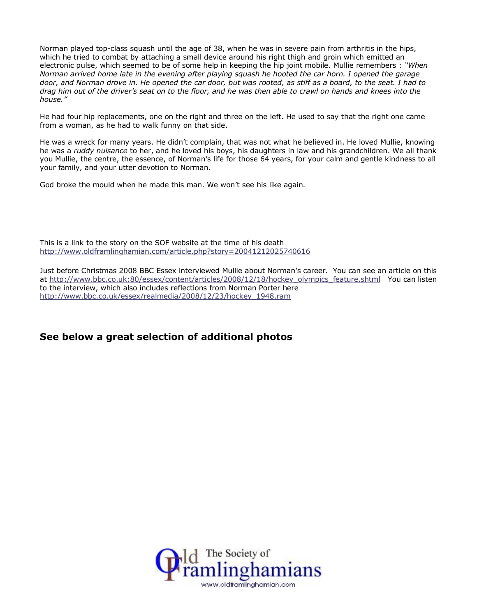Norman played top-class squash until the age of 38, when he was in severe pain from arthritis in the hips, which he tried to combat by attaching a small device around his right thigh and groin which emitted an electronic pulse, which seemed to be of some help in keeping the hip joint mobile. Mullie remembers : *"When Norman arrived home late in the evening after playing squash he hooted the car horn. I opened the garage door, and Norman drove in. He opened the car door, but was rooted, as stiff as a board, to the seat. I had to drag him out of the driver's seat on to the floor, and he was then able to crawl on hands and knees into the house."*

He had four hip replacements, one on the right and three on the left. He used to say that the right one came from a woman, as he had to walk funny on that side.

He was a wreck for many years. He didn't complain, that was not what he believed in. He loved Mullie, knowing he was a *ruddy nuisance* to her, and he loved his boys, his daughters in law and his grandchildren. We all thank you Mullie, the centre, the essence, of Norman's life for those 64 years, for your calm and gentle kindness to all your family, and your utter devotion to Norman.

God broke the mould when he made this man. We won't see his like again.

This is a link to the story on the SOF website at the time of his death <http://www.oldframlinghamian.com/article.php?story=20041212025740616>

Just before Christmas 2008 BBC Essex interviewed Mullie about Norman's career. You can see an article on this at [http://www.bbc.co.uk:80/essex/content/articles/2008/12/18/hockey\\_olympics\\_feature.shtml](http://www.bbc.co.uk/essex/content/articles/2008/12/18/hockey_olympics_feature.shtml) You can listen to the interview, which also includes reflections from Norman Porter here [http://www.bbc.co.uk/essex/realmedia/2008/12/23/hockey\\_1948.ram](http://www.bbc.co.uk/essex/realmedia/2008/12/23/hockey_1948.ram)

### **See below a great selection of additional photos**

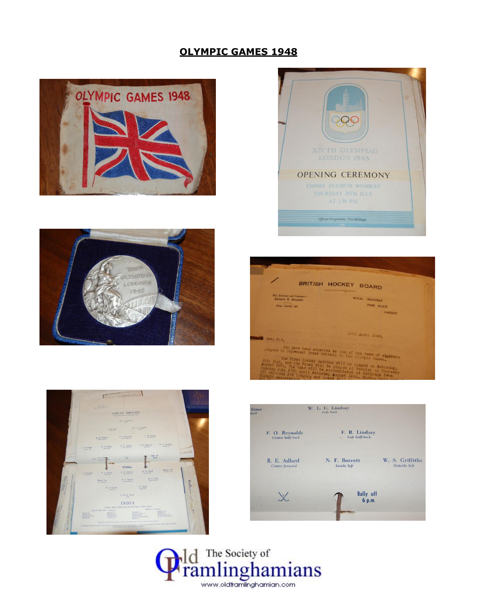## **OLYMPIC GAMES 1948**













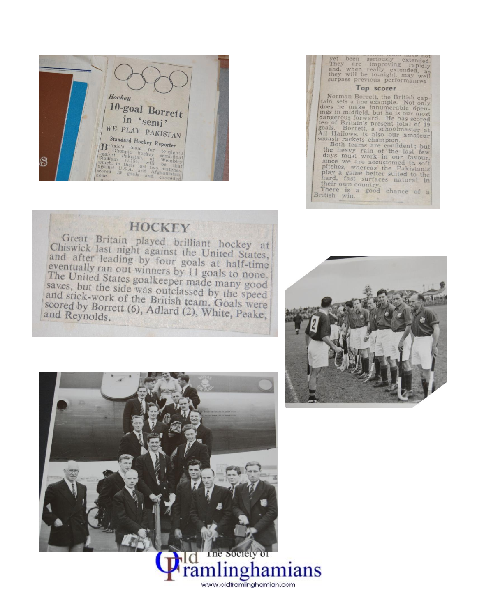

| yet been seriously extended.<br>They are improving rapidly<br>and, when really extended, as<br>they will be to-night, may well<br>surpass previous performances.                                                                                                                                                                                                                                                                                                                                                                                                                                                                        |
|-----------------------------------------------------------------------------------------------------------------------------------------------------------------------------------------------------------------------------------------------------------------------------------------------------------------------------------------------------------------------------------------------------------------------------------------------------------------------------------------------------------------------------------------------------------------------------------------------------------------------------------------|
| Top scorer                                                                                                                                                                                                                                                                                                                                                                                                                                                                                                                                                                                                                              |
| Norman Borrett, the British cap-<br>tain, sets a fine example. Not only<br>does he make innumerable open-<br>ings in midfield, but he is our most<br>dangerous forward. He has scored<br>ten of Britain's present total of 19<br>goals. Borrett, a schoolmaster at<br>All Hallows, is also our amateur<br>squash rackets champion.<br>Both teams are confident; but<br>the heavy rain of the last few<br>days must work in our favour.<br>since we are accustomed to soft<br>pitches, whereas the Pakistanis<br>play a game better suited to the<br>hard, fast surfaces natural in<br>their own country.<br>There is a good chance of a |
| British win.                                                                                                                                                                                                                                                                                                                                                                                                                                                                                                                                                                                                                            |

# **HOCKEY**

Great Britain played brilliant hockey at Chiswick last night against the United States, and after leading by four goals at half-time eventually ran out winners by 11 goals to none. The United States goalkeeper made many good saves, but the side was outclassed by the speed and stick-work of the British team. Goals were scored by Borrett (6), Adlard (2), White, Peake, and Reynolds.





www.oldframlinghamian.com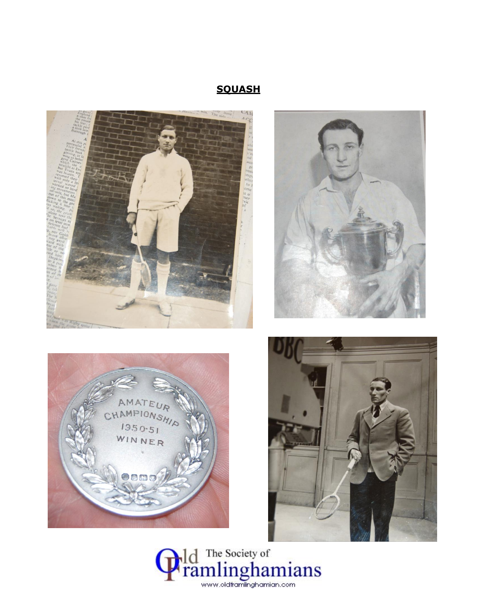## **SQUASH**